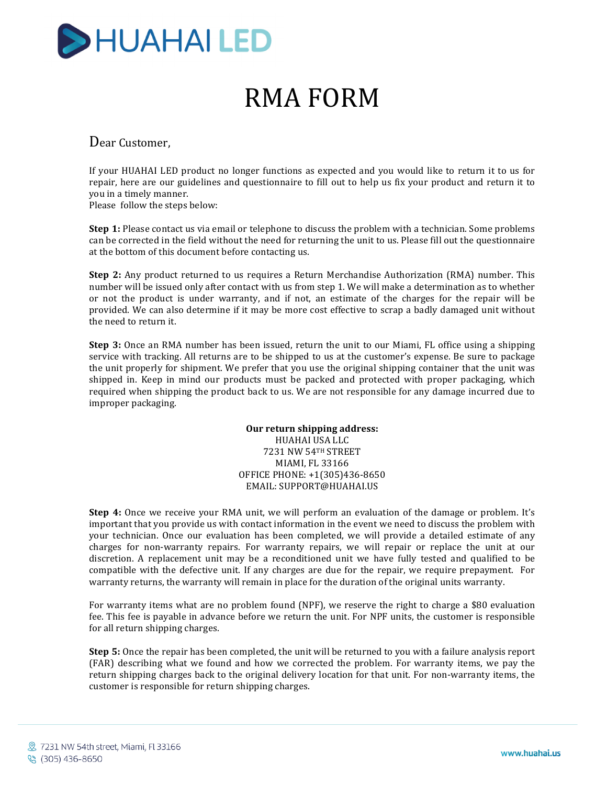

# RMA FORM

Dear Customer.

If your HUAHAI LED product no longer functions as expected and you would like to return it to us for repair, here are our guidelines and questionnaire to fill out to help us fix your product and return it to you in a timely manner.

Please follow the steps below:

**Step 1:** Please contact us via email or telephone to discuss the problem with a technician. Some problems can be corrected in the field without the need for returning the unit to us. Please fill out the questionnaire at the bottom of this document before contacting us.

**Step 2:** Any product returned to us requires a Return Merchandise Authorization (RMA) number. This number will be issued only after contact with us from step 1. We will make a determination as to whether or not the product is under warranty, and if not, an estimate of the charges for the repair will be provided. We can also determine if it may be more cost effective to scrap a badly damaged unit without the need to return it.

**Step 3:** Once an RMA number has been issued, return the unit to our Miami, FL office using a shipping service with tracking. All returns are to be shipped to us at the customer's expense. Be sure to package the unit properly for shipment. We prefer that you use the original shipping container that the unit was shipped in. Keep in mind our products must be packed and protected with proper packaging, which required when shipping the product back to us. We are not responsible for any damage incurred due to improper packaging.

> **Our return shipping address:** HUAHAI USA LLC 7231 NW 54TH STREET **MIAMI, FL 33166** OFFICE PHONE: +1(305)436-8650 EMAIL: SUPPORT@HUAHAI.US

**Step 4:** Once we receive your RMA unit, we will perform an evaluation of the damage or problem. It's important that you provide us with contact information in the event we need to discuss the problem with your technician. Once our evaluation has been completed, we will provide a detailed estimate of any charges for non-warranty repairs. For warranty repairs, we will repair or replace the unit at our discretion. A replacement unit may be a reconditioned unit we have fully tested and qualified to be compatible with the defective unit. If any charges are due for the repair, we require prepayment. For warranty returns, the warranty will remain in place for the duration of the original units warranty.

For warranty items what are no problem found (NPF), we reserve the right to charge a \$80 evaluation fee. This fee is payable in advance before we return the unit. For NPF units, the customer is responsible for all return shipping charges.

**Step 5:** Once the repair has been completed, the unit will be returned to you with a failure analysis report (FAR) describing what we found and how we corrected the problem. For warranty items, we pay the return shipping charges back to the original delivery location for that unit. For non-warranty items, the customer is responsible for return shipping charges.